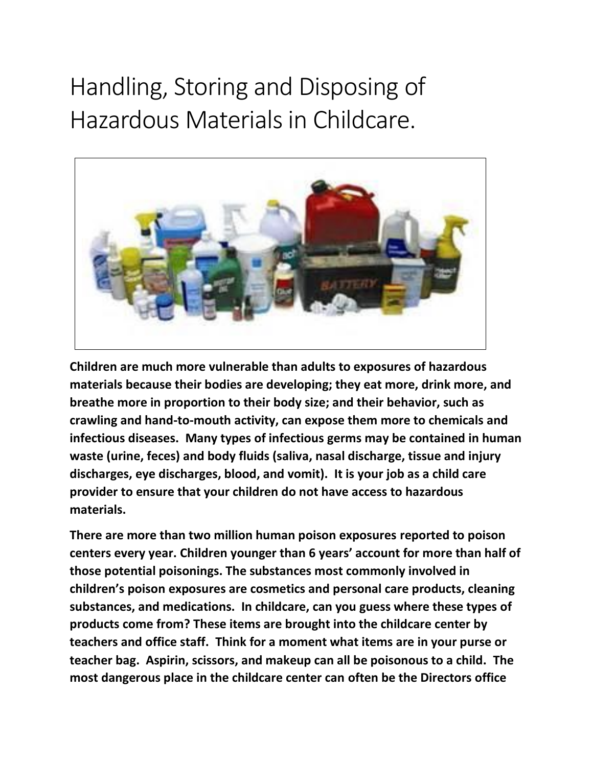# Handling, Storing and Disposing of Hazardous Materials in Childcare.



**Children are much more vulnerable than adults to exposures of hazardous materials because their bodies are developing; they eat more, drink more, and breathe more in proportion to their body size; and their behavior, such as crawling and hand-to-mouth activity, can expose them more to chemicals and infectious diseases. Many types of infectious germs may be contained in human waste (urine, feces) and body fluids (saliva, nasal discharge, tissue and injury discharges, eye discharges, blood, and vomit). It is your job as a child care provider to ensure that your children do not have access to hazardous materials.** 

**There are more than two million human poison exposures reported to poison centers every year. Children younger than 6 years' account for more than half of those potential poisonings. The substances most commonly involved in children's poison exposures are cosmetics and personal care products, cleaning substances, and medications. In childcare, can you guess where these types of products come from? These items are brought into the childcare center by teachers and office staff. Think for a moment what items are in your purse or teacher bag. Aspirin, scissors, and makeup can all be poisonous to a child. The most dangerous place in the childcare center can often be the Directors office**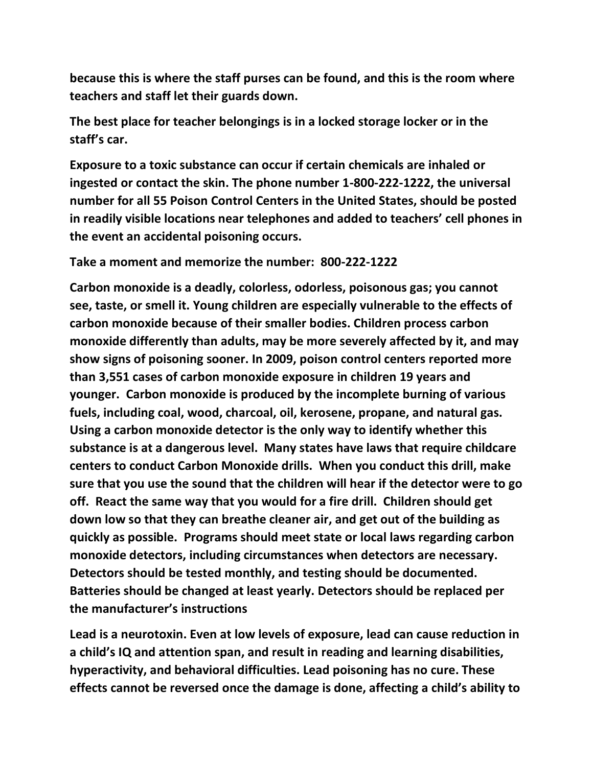**because this is where the staff purses can be found, and this is the room where teachers and staff let their guards down.** 

**The best place for teacher belongings is in a locked storage locker or in the staff's car.**

**Exposure to a toxic substance can occur if certain chemicals are inhaled or ingested or contact the skin. The phone number 1-800-222-1222, the universal number for all 55 Poison Control Centers in the United States, should be posted in readily visible locations near telephones and added to teachers' cell phones in the event an accidental poisoning occurs.** 

### **Take a moment and memorize the number: 800-222-1222**

**Carbon monoxide is a deadly, colorless, odorless, poisonous gas; you cannot see, taste, or smell it. Young children are especially vulnerable to the effects of carbon monoxide because of their smaller bodies. Children process carbon monoxide differently than adults, may be more severely affected by it, and may show signs of poisoning sooner. In 2009, poison control centers reported more than 3,551 cases of carbon monoxide exposure in children 19 years and younger. Carbon monoxide is produced by the incomplete burning of various fuels, including coal, wood, charcoal, oil, kerosene, propane, and natural gas. Using a carbon monoxide detector is the only way to identify whether this substance is at a dangerous level. Many states have laws that require childcare centers to conduct Carbon Monoxide drills. When you conduct this drill, make sure that you use the sound that the children will hear if the detector were to go off. React the same way that you would for a fire drill. Children should get down low so that they can breathe cleaner air, and get out of the building as quickly as possible. Programs should meet state or local laws regarding carbon monoxide detectors, including circumstances when detectors are necessary. Detectors should be tested monthly, and testing should be documented. Batteries should be changed at least yearly. Detectors should be replaced per the manufacturer's instructions**

**Lead is a neurotoxin. Even at low levels of exposure, lead can cause reduction in a child's IQ and attention span, and result in reading and learning disabilities, hyperactivity, and behavioral difficulties. Lead poisoning has no cure. These effects cannot be reversed once the damage is done, affecting a child's ability to**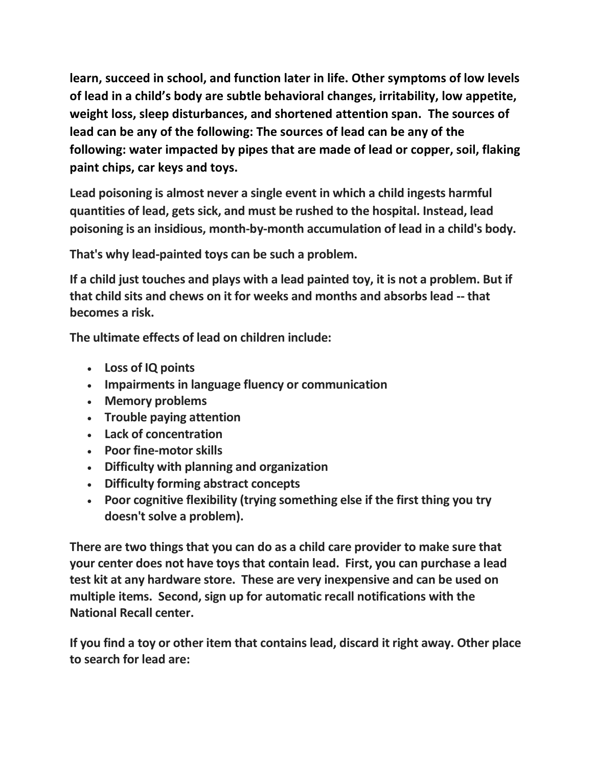**learn, succeed in school, and function later in life. Other symptoms of low levels of lead in a child's body are subtle behavioral changes, irritability, low appetite, weight loss, sleep disturbances, and shortened attention span. The sources of lead can be any of the following: The sources of lead can be any of the following: water impacted by pipes that are made of lead or copper, soil, flaking paint chips, car keys and toys.** 

**Lead poisoning is almost never a single event in which a child ingests harmful quantities of lead, gets sick, and must be rushed to the hospital. Instead, lead poisoning is an insidious, month-by-month accumulation of lead in a child's body.**

**That's why lead-painted toys can be such a problem.** 

**If a child just touches and plays with a lead painted toy, it is not a problem. But if that child sits and chews on it for weeks and months and absorbs lead -- that becomes a risk.**

**The ultimate effects of lead on children include:**

- **Loss of IQ points**
- **Impairments in language fluency or communication**
- **Memory problems**
- **Trouble paying attention**
- **Lack of concentration**
- **Poor fine-motor skills**
- **Difficulty with planning and organization**
- **Difficulty forming abstract concepts**
- **Poor cognitive flexibility (trying something else if the first thing you try doesn't solve a problem).**

**There are two things that you can do as a child care provider to make sure that your center does not have toys that contain lead. First, you can purchase a lead test kit at any hardware store. These are very inexpensive and can be used on multiple items. Second, sign up for automatic recall notifications with the National Recall center.** 

**If you find a toy or other item that contains lead, discard it right away. Other place to search for lead are:**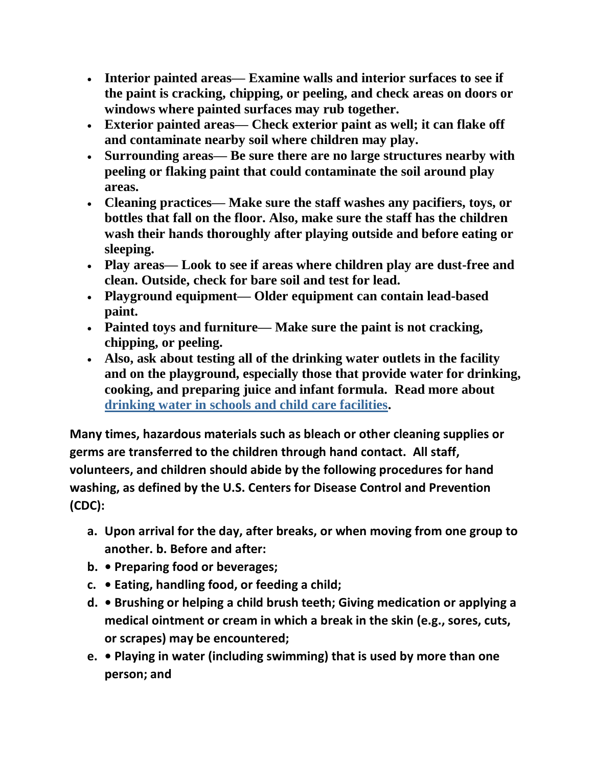- **Interior painted areas— Examine walls and interior surfaces to see if the paint is cracking, chipping, or peeling, and check areas on doors or windows where painted surfaces may rub together.**
- **Exterior painted areas— Check exterior paint as well; it can flake off and contaminate nearby soil where children may play.**
- **Surrounding areas— Be sure there are no large structures nearby with peeling or flaking paint that could contaminate the soil around play areas.**
- **Cleaning practices— Make sure the staff washes any pacifiers, toys, or bottles that fall on the floor. Also, make sure the staff has the children wash their hands thoroughly after playing outside and before eating or sleeping.**
- **Play areas— Look to see if areas where children play are dust-free and clean. Outside, check for bare soil and test for lead.**
- **Playground equipment— Older equipment can contain lead-based paint.**
- **Painted toys and furniture— Make sure the paint is not cracking, chipping, or peeling.**
- **Also, ask about testing all of the drinking water outlets in the facility and on the playground, especially those that provide water for drinking, cooking, and preparing juice and infant formula. Read more about [drinking water in schools and child care facilities.](http://water.epa.gov/infrastructure/drinkingwater/schools/index.cfm)**

**Many times, hazardous materials such as bleach or other cleaning supplies or germs are transferred to the children through hand contact. All staff, volunteers, and children should abide by the following procedures for hand washing, as defined by the U.S. Centers for Disease Control and Prevention (CDC):** 

- **a. Upon arrival for the day, after breaks, or when moving from one group to another. b. Before and after:**
- **b. Preparing food or beverages;**
- **c. Eating, handling food, or feeding a child;**
- **d. Brushing or helping a child brush teeth; Giving medication or applying a medical ointment or cream in which a break in the skin (e.g., sores, cuts, or scrapes) may be encountered;**
- **e. Playing in water (including swimming) that is used by more than one person; and**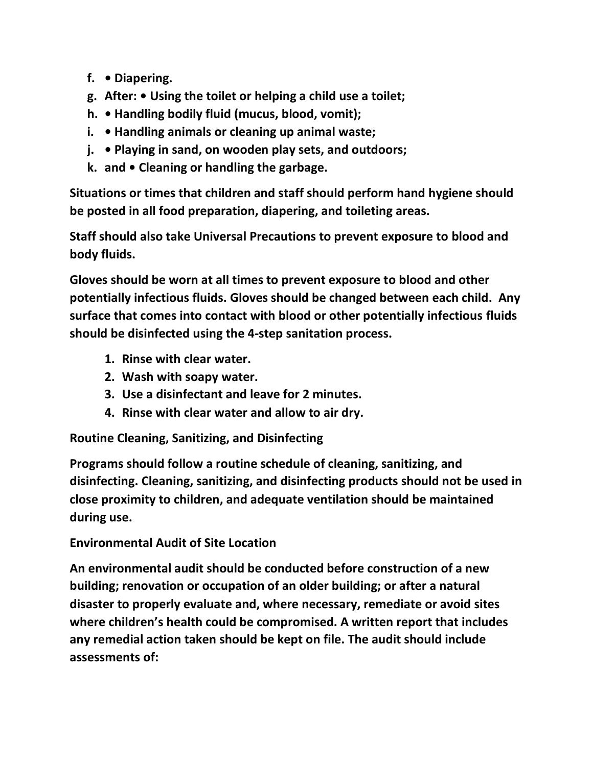- **f. Diapering.**
- **g. After: Using the toilet or helping a child use a toilet;**
- **h. Handling bodily fluid (mucus, blood, vomit);**
- **i. Handling animals or cleaning up animal waste;**
- **j. Playing in sand, on wooden play sets, and outdoors;**
- **k. and Cleaning or handling the garbage.**

**Situations or times that children and staff should perform hand hygiene should be posted in all food preparation, diapering, and toileting areas.** 

**Staff should also take Universal Precautions to prevent exposure to blood and body fluids.** 

**Gloves should be worn at all times to prevent exposure to blood and other potentially infectious fluids. Gloves should be changed between each child. Any surface that comes into contact with blood or other potentially infectious fluids should be disinfected using the 4-step sanitation process.** 

- **1. Rinse with clear water.**
- **2. Wash with soapy water.**
- **3. Use a disinfectant and leave for 2 minutes.**
- **4. Rinse with clear water and allow to air dry.**

**Routine Cleaning, Sanitizing, and Disinfecting** 

**Programs should follow a routine schedule of cleaning, sanitizing, and disinfecting. Cleaning, sanitizing, and disinfecting products should not be used in close proximity to children, and adequate ventilation should be maintained during use.** 

## **Environmental Audit of Site Location**

**An environmental audit should be conducted before construction of a new building; renovation or occupation of an older building; or after a natural disaster to properly evaluate and, where necessary, remediate or avoid sites where children's health could be compromised. A written report that includes any remedial action taken should be kept on file. The audit should include assessments of:**